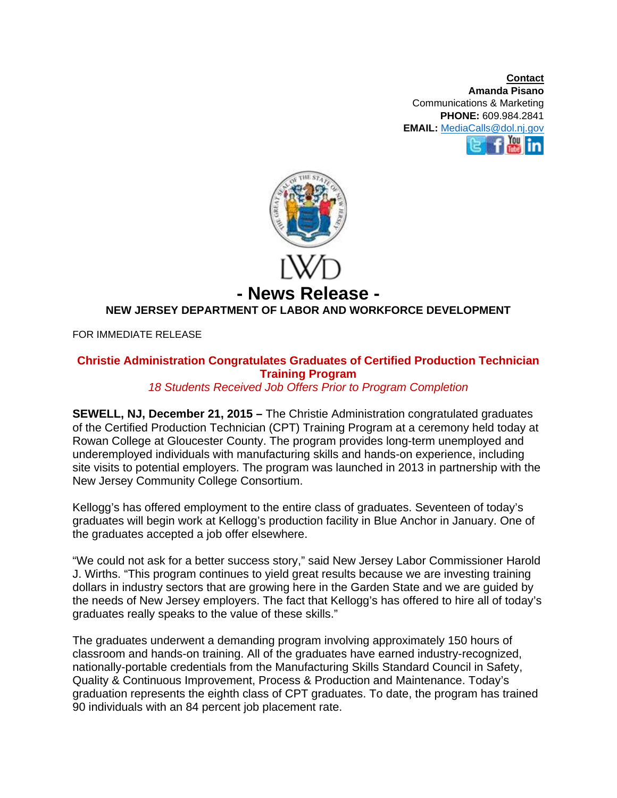**Contact Amanda Pisano**  Communications & Marketing **PHONE:** 609.984.2841 **EMAIL:** MediaCalls@dol.nj.gov



## **- News Release - NEW JERSEY DEPARTMENT OF LABOR AND WORKFORCE DEVELOPMENT**

FOR IMMEDIATE RELEASE

## **Christie Administration Congratulates Graduates of Certified Production Technician Training Program**

## *18 Students Received Job Offers Prior to Program Completion*

**SEWELL, NJ, December 21, 2015 –** The Christie Administration congratulated graduates of the Certified Production Technician (CPT) Training Program at a ceremony held today at Rowan College at Gloucester County. The program provides long-term unemployed and underemployed individuals with manufacturing skills and hands-on experience, including site visits to potential employers. The program was launched in 2013 in partnership with the New Jersey Community College Consortium.

Kellogg's has offered employment to the entire class of graduates. Seventeen of today's graduates will begin work at Kellogg's production facility in Blue Anchor in January. One of the graduates accepted a job offer elsewhere.

"We could not ask for a better success story," said New Jersey Labor Commissioner Harold J. Wirths. "This program continues to yield great results because we are investing training dollars in industry sectors that are growing here in the Garden State and we are guided by the needs of New Jersey employers. The fact that Kellogg's has offered to hire all of today's graduates really speaks to the value of these skills."

The graduates underwent a demanding program involving approximately 150 hours of classroom and hands-on training. All of the graduates have earned industry-recognized, nationally-portable credentials from the Manufacturing Skills Standard Council in Safety, Quality & Continuous Improvement, Process & Production and Maintenance. Today's graduation represents the eighth class of CPT graduates. To date, the program has trained 90 individuals with an 84 percent job placement rate.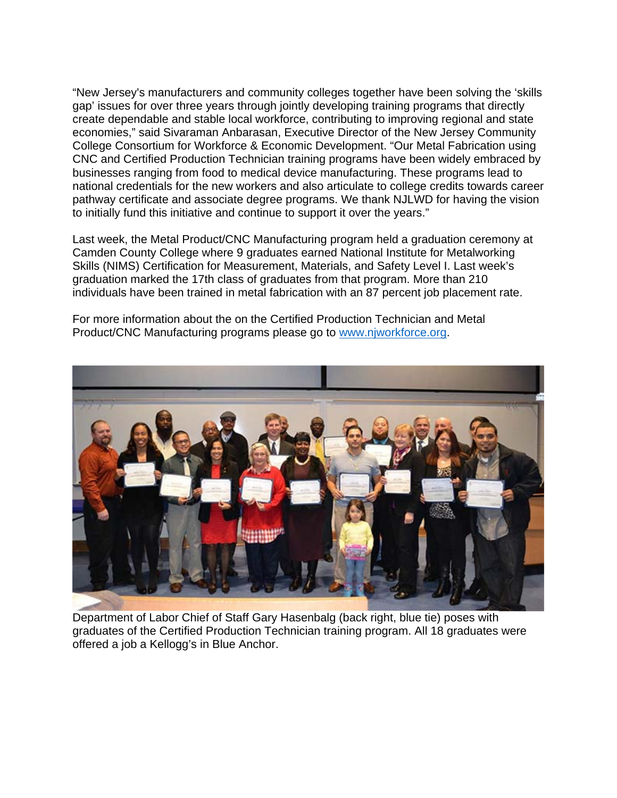"New Jersey's manufacturers and community colleges together have been solving the 'skills gap' issues for over three years through jointly developing training programs that directly create dependable and stable local workforce, contributing to improving regional and state economies," said Sivaraman Anbarasan, Executive Director of the New Jersey Community College Consortium for Workforce & Economic Development. "Our Metal Fabrication using CNC and Certified Production Technician training programs have been widely embraced by businesses ranging from food to medical device manufacturing. These programs lead to national credentials for the new workers and also articulate to college credits towards career pathway certificate and associate degree programs. We thank NJLWD for having the vision to initially fund this initiative and continue to support it over the years."

Last week, the Metal Product/CNC Manufacturing program held a graduation ceremony at Camden County College where 9 graduates earned National Institute for Metalworking Skills (NIMS) Certification for Measurement, Materials, and Safety Level I. Last week's graduation marked the 17th class of graduates from that program. More than 210 individuals have been trained in metal fabrication with an 87 percent job placement rate.

For more information about the on the Certified Production Technician and Metal Product/CNC Manufacturing programs please go to www.njworkforce.org.



Department of Labor Chief of Staff Gary Hasenbalg (back right, blue tie) poses with graduates of the Certified Production Technician training program. All 18 graduates were offered a job a Kellogg's in Blue Anchor.